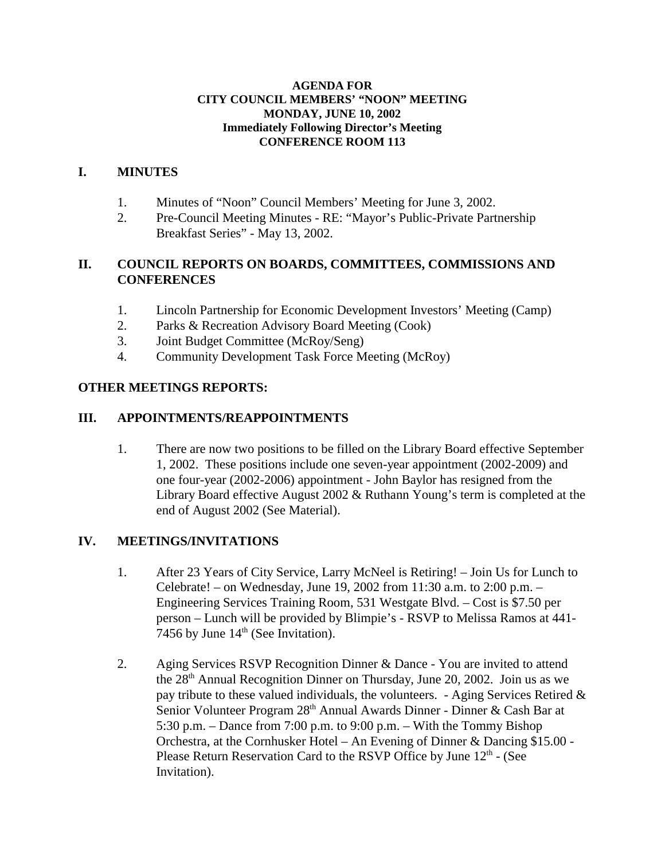#### **AGENDA FOR CITY COUNCIL MEMBERS' "NOON" MEETING MONDAY, JUNE 10, 2002 Immediately Following Director's Meeting CONFERENCE ROOM 113**

#### **I. MINUTES**

- 1. Minutes of "Noon" Council Members' Meeting for June 3, 2002.
- 2. Pre-Council Meeting Minutes RE: "Mayor's Public-Private Partnership Breakfast Series" - May 13, 2002.

### **II. COUNCIL REPORTS ON BOARDS, COMMITTEES, COMMISSIONS AND CONFERENCES**

- 1. Lincoln Partnership for Economic Development Investors' Meeting (Camp)
- 2. Parks & Recreation Advisory Board Meeting (Cook)
- 3. Joint Budget Committee (McRoy/Seng)
- 4. Community Development Task Force Meeting (McRoy)

#### **OTHER MEETINGS REPORTS:**

#### **III. APPOINTMENTS/REAPPOINTMENTS**

1. There are now two positions to be filled on the Library Board effective September 1, 2002. These positions include one seven-year appointment (2002-2009) and one four-year (2002-2006) appointment - John Baylor has resigned from the Library Board effective August 2002 & Ruthann Young's term is completed at the end of August 2002 (See Material).

#### **IV. MEETINGS/INVITATIONS**

- 1. After 23 Years of City Service, Larry McNeel is Retiring! Join Us for Lunch to Celebrate! – on Wednesday, June 19, 2002 from 11:30 a.m. to 2:00 p.m. – Engineering Services Training Room, 531 Westgate Blvd. – Cost is \$7.50 per person – Lunch will be provided by Blimpie's - RSVP to Melissa Ramos at 441- 7456 by June  $14<sup>th</sup>$  (See Invitation).
- 2. Aging Services RSVP Recognition Dinner & Dance You are invited to attend the 28th Annual Recognition Dinner on Thursday, June 20, 2002. Join us as we pay tribute to these valued individuals, the volunteers. - Aging Services Retired  $\&$ Senior Volunteer Program 28<sup>th</sup> Annual Awards Dinner - Dinner & Cash Bar at 5:30 p.m. – Dance from 7:00 p.m. to 9:00 p.m. – With the Tommy Bishop Orchestra, at the Cornhusker Hotel – An Evening of Dinner & Dancing \$15.00 - Please Return Reservation Card to the RSVP Office by June  $12<sup>th</sup>$  - (See Invitation).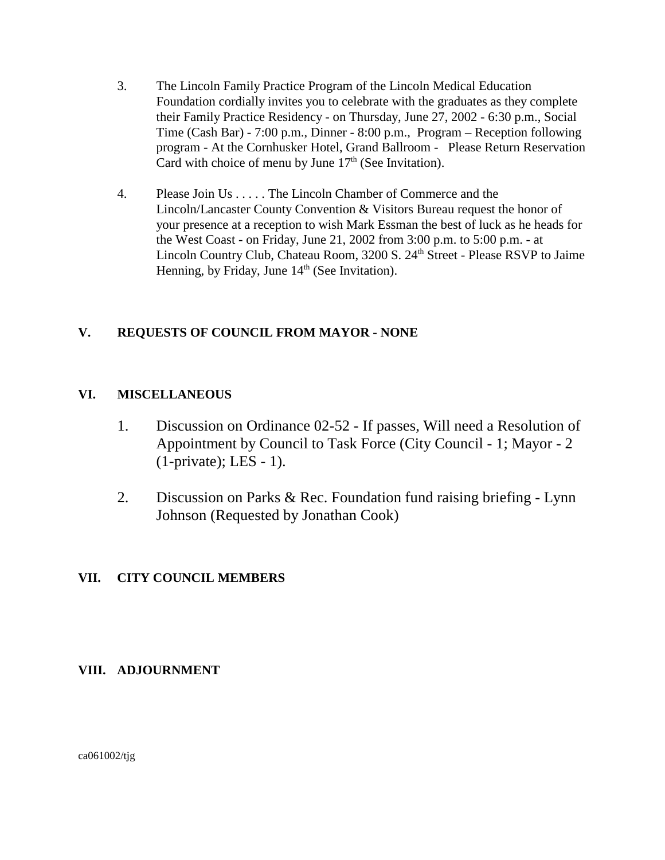- 3. The Lincoln Family Practice Program of the Lincoln Medical Education Foundation cordially invites you to celebrate with the graduates as they complete their Family Practice Residency - on Thursday, June 27, 2002 - 6:30 p.m., Social Time (Cash Bar) - 7:00 p.m., Dinner - 8:00 p.m., Program – Reception following program - At the Cornhusker Hotel, Grand Ballroom - Please Return Reservation Card with choice of menu by June  $17<sup>th</sup>$  (See Invitation).
- 4. Please Join Us . . . . . The Lincoln Chamber of Commerce and the Lincoln/Lancaster County Convention & Visitors Bureau request the honor of your presence at a reception to wish Mark Essman the best of luck as he heads for the West Coast - on Friday, June 21, 2002 from 3:00 p.m. to 5:00 p.m. - at Lincoln Country Club, Chateau Room, 3200 S. 24<sup>th</sup> Street - Please RSVP to Jaime Henning, by Friday, June  $14<sup>th</sup>$  (See Invitation).

## **V. REQUESTS OF COUNCIL FROM MAYOR - NONE**

## **VI. MISCELLANEOUS**

- 1. Discussion on Ordinance 02-52 If passes, Will need a Resolution of Appointment by Council to Task Force (City Council - 1; Mayor - 2 (1-private); LES - 1).
- 2. Discussion on Parks & Rec. Foundation fund raising briefing Lynn Johnson (Requested by Jonathan Cook)

### **VII. CITY COUNCIL MEMBERS**

### **VIII. ADJOURNMENT**

ca061002/tjg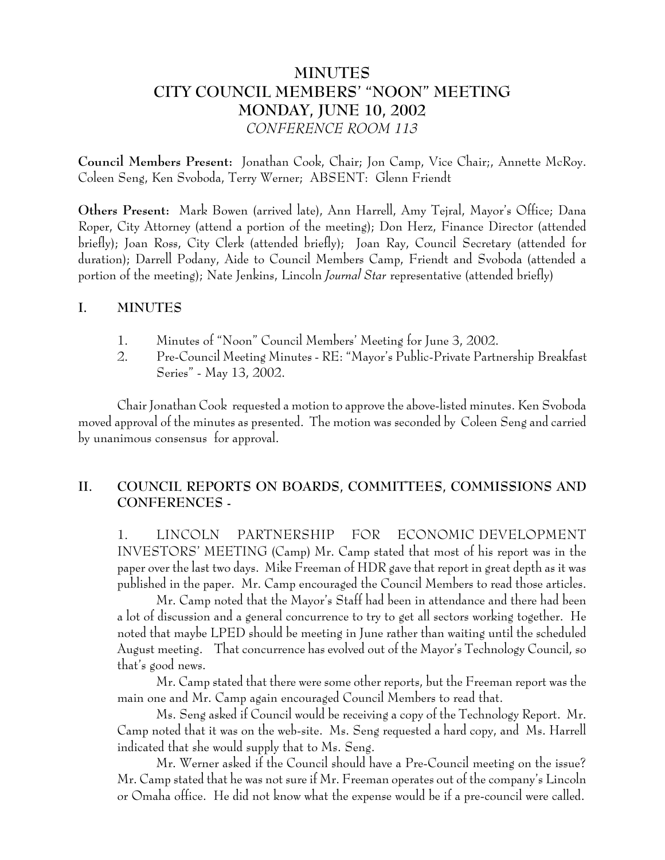# **MINUTES CITY COUNCIL MEMBERS' "NOON" MEETING MONDAY, JUNE 10, 2002** *CONFERENCE ROOM 113*

**Council Members Present:** Jonathan Cook, Chair; Jon Camp, Vice Chair;, Annette McRoy. Coleen Seng, Ken Svoboda, Terry Werner; ABSENT: Glenn Friendt

**Others Present:** Mark Bowen (arrived late), Ann Harrell, Amy Tejral, Mayor's Office; Dana Roper, City Attorney (attend a portion of the meeting); Don Herz, Finance Director (attended briefly); Joan Ross, City Clerk (attended briefly); Joan Ray, Council Secretary (attended for duration); Darrell Podany, Aide to Council Members Camp, Friendt and Svoboda (attended a portion of the meeting); Nate Jenkins, Lincoln *Journal Star* representative (attended briefly)

### **I. MINUTES**

- 1. Minutes of "Noon" Council Members' Meeting for June 3, 2002.
- 2. Pre-Council Meeting Minutes RE: "Mayor's Public-Private Partnership Breakfast Series" - May 13, 2002.

Chair Jonathan Cook requested a motion to approve the above-listed minutes. Ken Svoboda moved approval of the minutes as presented. The motion was seconded by Coleen Seng and carried by unanimous consensus for approval.

## **II. COUNCIL REPORTS ON BOARDS, COMMITTEES, COMMISSIONS AND CONFERENCES -**

1. LINCOLN PARTNERSHIP FOR ECONOMIC DEVELOPMENT INVESTORS' MEETING (Camp) Mr. Camp stated that most of his report was in the paper over the last two days. Mike Freeman of HDR gave that report in great depth as it was published in the paper. Mr. Camp encouraged the Council Members to read those articles.

Mr. Camp noted that the Mayor's Staff had been in attendance and there had been a lot of discussion and a general concurrence to try to get all sectors working together. He noted that maybe LPED should be meeting in June rather than waiting until the scheduled August meeting. That concurrence has evolved out of the Mayor's Technology Council, so that's good news.

Mr. Camp stated that there were some other reports, but the Freeman report was the main one and Mr. Camp again encouraged Council Members to read that.

Ms. Seng asked if Council would be receiving a copy of the Technology Report. Mr. Camp noted that it was on the web-site. Ms. Seng requested a hard copy, and Ms. Harrell indicated that she would supply that to Ms. Seng.

Mr. Werner asked if the Council should have a Pre-Council meeting on the issue? Mr. Camp stated that he was not sure if Mr. Freeman operates out of the company's Lincoln or Omaha office. He did not know what the expense would be if a pre-council were called.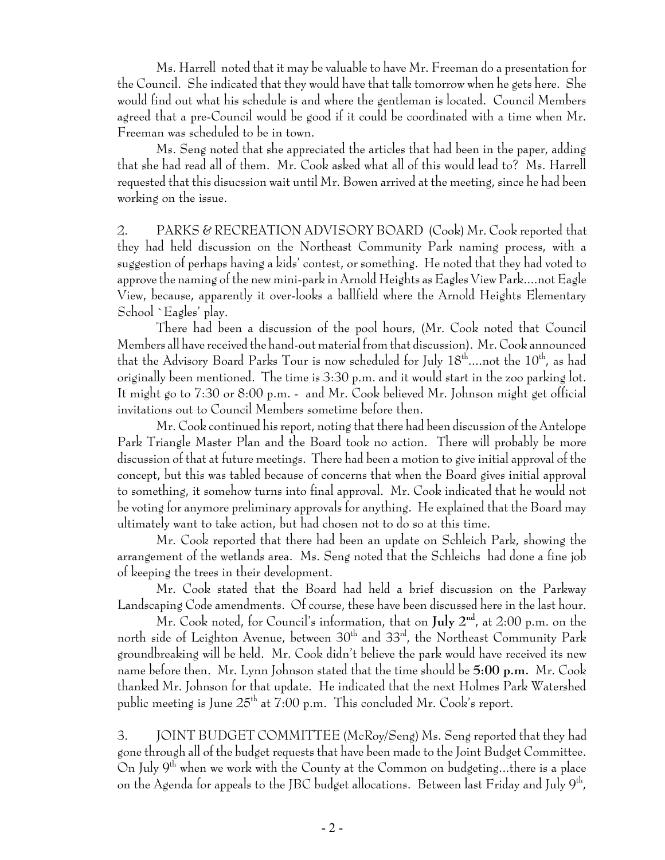Ms. Harrell noted that it may be valuable to have Mr. Freeman do a presentation for the Council. She indicated that they would have that talk tomorrow when he gets here. She would find out what his schedule is and where the gentleman is located. Council Members agreed that a pre-Council would be good if it could be coordinated with a time when Mr. Freeman was scheduled to be in town.

Ms. Seng noted that she appreciated the articles that had been in the paper, adding that she had read all of them. Mr. Cook asked what all of this would lead to? Ms. Harrell requested that this disucssion wait until Mr. Bowen arrived at the meeting, since he had been working on the issue.

2. PARKS & RECREATION ADVISORY BOARD (Cook) Mr. Cook reported that they had held discussion on the Northeast Community Park naming process, with a suggestion of perhaps having a kids' contest, or something. He noted that they had voted to approve the naming of the new mini-park in Arnold Heights as Eagles View Park....not Eagle View, because, apparently it over-looks a ballfield where the Arnold Heights Elementary School `Eagles' play.

There had been a discussion of the pool hours, (Mr. Cook noted that Council Members all have received the hand-out material from that discussion). Mr. Cook announced that the Advisory Board Parks Tour is now scheduled for July  $18^{\text{th}}$ ....not the  $10^{\text{th}}$ , as had originally been mentioned. The time is 3:30 p.m. and it would start in the zoo parking lot. It might go to 7:30 or 8:00 p.m. - and Mr. Cook believed Mr. Johnson might get official invitations out to Council Members sometime before then.

Mr. Cook continued his report, noting that there had been discussion of the Antelope Park Triangle Master Plan and the Board took no action. There will probably be more discussion of that at future meetings. There had been a motion to give initial approval of the concept, but this was tabled because of concerns that when the Board gives initial approval to something, it somehow turns into final approval. Mr. Cook indicated that he would not be voting for anymore preliminary approvals for anything. He explained that the Board may ultimately want to take action, but had chosen not to do so at this time.

Mr. Cook reported that there had been an update on Schleich Park, showing the arrangement of the wetlands area. Ms. Seng noted that the Schleichs had done a fine job of keeping the trees in their development.

Mr. Cook stated that the Board had held a brief discussion on the Parkway Landscaping Code amendments. Of course, these have been discussed here in the last hour.

Mr. Cook noted, for Council's information, that on **July 2nd**, at 2:00 p.m. on the north side of Leighton Avenue, between 30<sup>th</sup> and 33<sup>rd</sup>, the Northeast Community Park groundbreaking will be held. Mr. Cook didn't believe the park would have received its new name before then. Mr. Lynn Johnson stated that the time should be **5:00 p.m.** Mr. Cook thanked Mr. Johnson for that update. He indicated that the next Holmes Park Watershed public meeting is June  $25<sup>th</sup>$  at 7:00 p.m. This concluded Mr. Cook's report.

3. JOINT BUDGET COMMITTEE (McRoy/Seng) Ms. Seng reported that they had gone through all of the budget requests that have been made to the Joint Budget Committee. On July  $9<sup>th</sup>$  when we work with the County at the Common on budgeting...there is a place on the Agenda for appeals to the JBC budget allocations. Between last Friday and July  $9<sup>th</sup>$ ,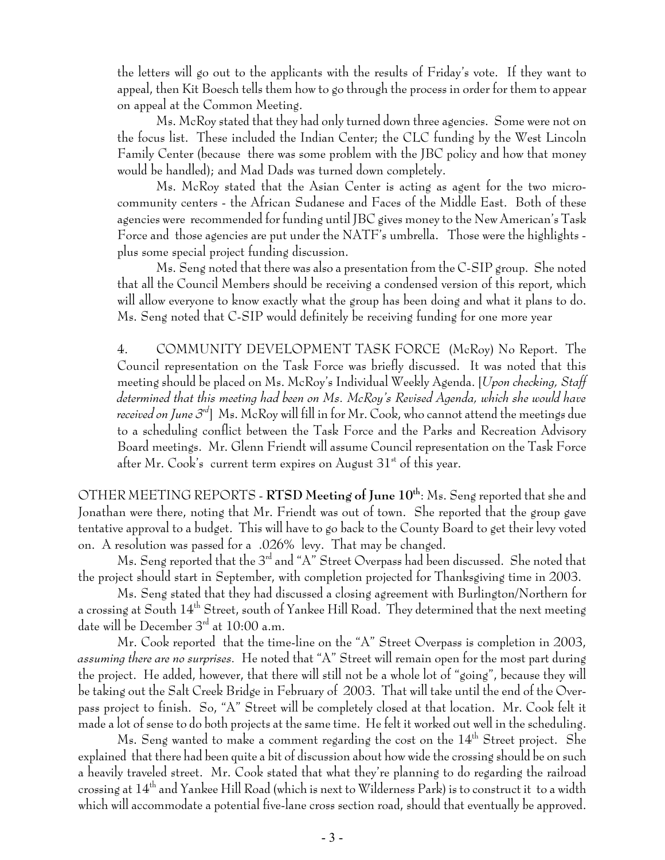the letters will go out to the applicants with the results of Friday's vote. If they want to appeal, then Kit Boesch tells them how to go through the process in order for them to appear on appeal at the Common Meeting.

Ms. McRoy stated that they had only turned down three agencies. Some were not on the focus list. These included the Indian Center; the CLC funding by the West Lincoln Family Center (because there was some problem with the JBC policy and how that money would be handled); and Mad Dads was turned down completely.

Ms. McRoy stated that the Asian Center is acting as agent for the two microcommunity centers - the African Sudanese and Faces of the Middle East. Both of these agencies were recommended for funding until JBC gives money to the New American's Task Force and those agencies are put under the NATF's umbrella. Those were the highlights plus some special project funding discussion.

Ms. Seng noted that there was also a presentation from the C-SIP group. She noted that all the Council Members should be receiving a condensed version of this report, which will allow everyone to know exactly what the group has been doing and what it plans to do. Ms. Seng noted that C-SIP would definitely be receiving funding for one more year

4. COMMUNITY DEVELOPMENT TASK FORCE (McRoy) No Report. The Council representation on the Task Force was briefly discussed. It was noted that this meeting should be placed on Ms. McRoy's Individual Weekly Agenda. [*Upon checking, Staff determined that this meeting had been on Ms. McRoy's Revised Agenda, which she would have received on June 3rd*] Ms. McRoy will fill in for Mr. Cook, who cannot attend the meetings due to a scheduling conflict between the Task Force and the Parks and Recreation Advisory Board meetings. Mr. Glenn Friendt will assume Council representation on the Task Force after Mr. Cook's current term expires on August  $31<sup>st</sup>$  of this year.

OTHER MEETING REPORTS - **RTSD Meeting of June 10th**: Ms. Seng reported that she and Jonathan were there, noting that Mr. Friendt was out of town. She reported that the group gave tentative approval to a budget. This will have to go back to the County Board to get their levy voted on. A resolution was passed for a .026% levy. That may be changed.

Ms. Seng reported that the 3<sup>rd</sup> and "A" Street Overpass had been discussed. She noted that the project should start in September, with completion projected for Thanksgiving time in 2003.

Ms. Seng stated that they had discussed a closing agreement with Burlington/Northern for a crossing at South  $14<sup>th</sup>$  Street, south of Yankee Hill Road. They determined that the next meeting date will be December  $3<sup>rd</sup>$  at 10:00 a.m.

Mr. Cook reported that the time-line on the "A" Street Overpass is completion in 2003, *assuming there are no surprises.* He noted that "A" Street will remain open for the most part during the project. He added, however, that there will still not be a whole lot of "going", because they will be taking out the Salt Creek Bridge in February of 2003. That will take until the end of the Overpass project to finish. So, "A" Street will be completely closed at that location. Mr. Cook felt it made a lot of sense to do both projects at the same time. He felt it worked out well in the scheduling.

Ms. Seng wanted to make a comment regarding the cost on the  $14<sup>th</sup>$  Street project. She explained that there had been quite a bit of discussion about how wide the crossing should be on such a heavily traveled street. Mr. Cook stated that what they're planning to do regarding the railroad crossing at 14th and Yankee Hill Road (which is next to Wilderness Park) is to construct it to a width which will accommodate a potential five-lane cross section road, should that eventually be approved.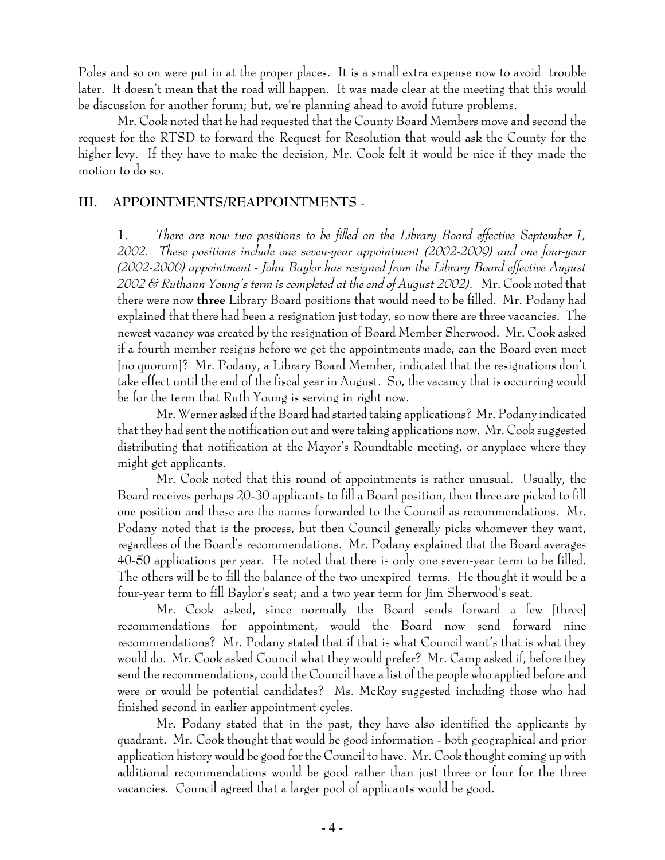Poles and so on were put in at the proper places. It is a small extra expense now to avoid trouble later. It doesn't mean that the road will happen. It was made clear at the meeting that this would be discussion for another forum; but, we're planning ahead to avoid future problems.

Mr. Cook noted that he had requested that the County Board Members move and second the request for the RTSD to forward the Request for Resolution that would ask the County for the higher levy. If they have to make the decision, Mr. Cook felt it would be nice if they made the motion to do so.

#### **III. APPOINTMENTS/REAPPOINTMENTS** -

1. *There are now two positions to be filled on the Library Board effective September 1, 2002. These positions include one seven-year appointment (2002-2009) and one four-year (2002-2006) appointment - John Baylor has resigned from the Library Board effective August 2002 & Ruthann Young's term is completed at the end of August 2002).* Mr. Cook noted that there were now **three** Library Board positions that would need to be filled. Mr. Podany had explained that there had been a resignation just today, so now there are three vacancies. The newest vacancy was created by the resignation of Board Member Sherwood. Mr. Cook asked if a fourth member resigns before we get the appointments made, can the Board even meet [no quorum]? Mr. Podany, a Library Board Member, indicated that the resignations don't take effect until the end of the fiscal year in August. So, the vacancy that is occurring would be for the term that Ruth Young is serving in right now.

Mr. Werner asked if the Board had started taking applications? Mr. Podany indicated that they had sent the notification out and were taking applications now. Mr. Cook suggested distributing that notification at the Mayor's Roundtable meeting, or anyplace where they might get applicants.

Mr. Cook noted that this round of appointments is rather unusual. Usually, the Board receives perhaps 20-30 applicants to fill a Board position, then three are picked to fill one position and these are the names forwarded to the Council as recommendations. Mr. Podany noted that is the process, but then Council generally picks whomever they want, regardless of the Board's recommendations. Mr. Podany explained that the Board averages 40-50 applications per year. He noted that there is only one seven-year term to be filled. The others will be to fill the balance of the two unexpired terms. He thought it would be a four-year term to fill Baylor's seat; and a two year term for Jim Sherwood's seat.

Mr. Cook asked, since normally the Board sends forward a few [three] recommendations for appointment, would the Board now send forward nine recommendations? Mr. Podany stated that if that is what Council want's that is what they would do. Mr. Cook asked Council what they would prefer? Mr. Camp asked if, before they send the recommendations, could the Council have a list of the people who applied before and were or would be potential candidates? Ms. McRoy suggested including those who had finished second in earlier appointment cycles.

Mr. Podany stated that in the past, they have also identified the applicants by quadrant. Mr. Cook thought that would be good information - both geographical and prior application history would be good for the Council to have. Mr. Cook thought coming up with additional recommendations would be good rather than just three or four for the three vacancies. Council agreed that a larger pool of applicants would be good.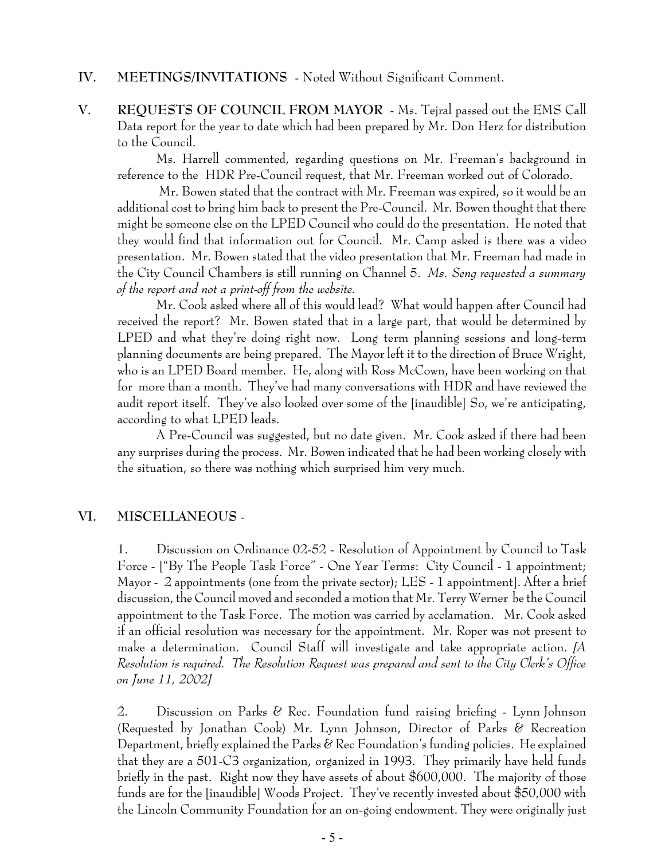## **IV. MEETINGS/INVITATIONS** - Noted Without Significant Comment.

**V. REQUESTS OF COUNCIL FROM MAYOR** - Ms. Tejral passed out the EMS Call Data report for the year to date which had been prepared by Mr. Don Herz for distribution to the Council.

Ms. Harrell commented, regarding questions on Mr. Freeman's background in reference to the HDR Pre-Council request, that Mr. Freeman worked out of Colorado.

 Mr. Bowen stated that the contract with Mr. Freeman was expired, so it would be an additional cost to bring him back to present the Pre-Council. Mr. Bowen thought that there might be someone else on the LPED Council who could do the presentation. He noted that they would find that information out for Council. Mr. Camp asked is there was a video presentation. Mr. Bowen stated that the video presentation that Mr. Freeman had made in the City Council Chambers is still running on Channel 5. *Ms. Seng requested a summary of the report and not a print-off from the website.*

Mr. Cook asked where all of this would lead? What would happen after Council had received the report? Mr. Bowen stated that in a large part, that would be determined by LPED and what they're doing right now. Long term planning sessions and long-term planning documents are being prepared. The Mayor left it to the direction of Bruce Wright, who is an LPED Board member. He, along with Ross McCown, have been working on that for more than a month. They've had many conversations with HDR and have reviewed the audit report itself. They've also looked over some of the [inaudible] So, we're anticipating, according to what LPED leads.

A Pre-Council was suggested, but no date given. Mr. Cook asked if there had been any surprises during the process. Mr. Bowen indicated that he had been working closely with the situation, so there was nothing which surprised him very much.

#### **VI. MISCELLANEOUS** -

1. Discussion on Ordinance 02-52 - Resolution of Appointment by Council to Task Force - ["By The People Task Force" - One Year Terms: City Council - 1 appointment; Mayor - 2 appointments (one from the private sector); LES - 1 appointment]. After a brief discussion, the Council moved and seconded a motion that Mr. Terry Werner be the Council appointment to the Task Force. The motion was carried by acclamation. Mr. Cook asked if an official resolution was necessary for the appointment. Mr. Roper was not present to make a determination. Council Staff will investigate and take appropriate action. *[A Resolution is required. The Resolution Request was prepared and sent to the City Clerk's Office on June 11, 2002]*

2. Discussion on Parks & Rec. Foundation fund raising briefing - Lynn Johnson (Requested by Jonathan Cook) Mr. Lynn Johnson, Director of Parks & Recreation Department, briefly explained the Parks  $\mathscr C$  Rec Foundation's funding policies. He explained that they are a 501-C3 organization, organized in 1993. They primarily have held funds briefly in the past. Right now they have assets of about \$600,000. The majority of those funds are for the [inaudible] Woods Project. They've recently invested about \$50,000 with the Lincoln Community Foundation for an on-going endowment. They were originally just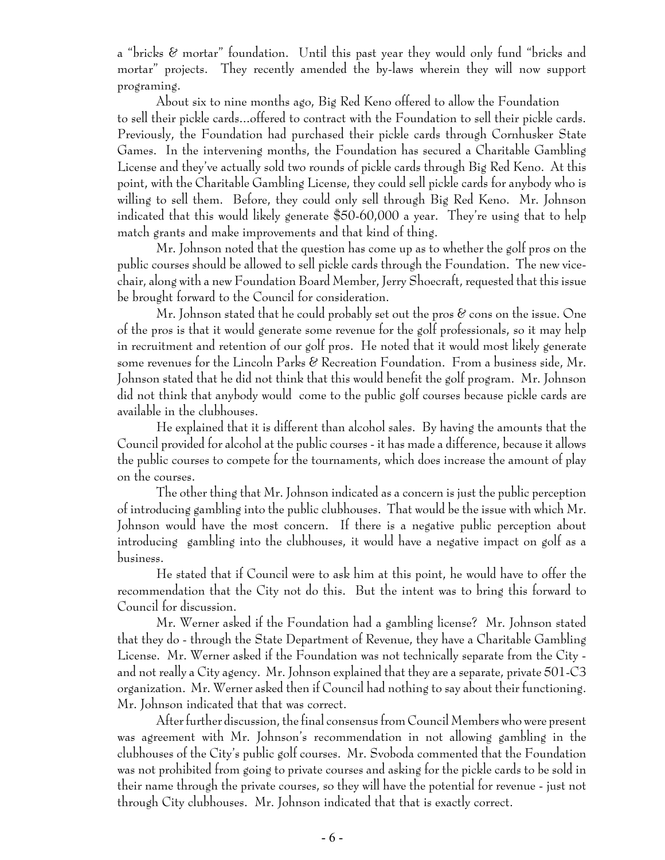a "bricks & mortar" foundation. Until this past year they would only fund "bricks and mortar" projects. They recently amended the by-laws wherein they will now support programing.

About six to nine months ago, Big Red Keno offered to allow the Foundation to sell their pickle cards...offered to contract with the Foundation to sell their pickle cards. Previously, the Foundation had purchased their pickle cards through Cornhusker State Games. In the intervening months, the Foundation has secured a Charitable Gambling License and they've actually sold two rounds of pickle cards through Big Red Keno. At this point, with the Charitable Gambling License, they could sell pickle cards for anybody who is willing to sell them. Before, they could only sell through Big Red Keno. Mr. Johnson indicated that this would likely generate \$50-60,000 a year. They're using that to help match grants and make improvements and that kind of thing.

Mr. Johnson noted that the question has come up as to whether the golf pros on the public courses should be allowed to sell pickle cards through the Foundation. The new vicechair, along with a new Foundation Board Member, Jerry Shoecraft, requested that this issue be brought forward to the Council for consideration.

Mr. Johnson stated that he could probably set out the pros  $\mathscr C$  cons on the issue. One of the pros is that it would generate some revenue for the golf professionals, so it may help in recruitment and retention of our golf pros. He noted that it would most likely generate some revenues for the Lincoln Parks  $\mathscr C$  Recreation Foundation. From a business side, Mr. Johnson stated that he did not think that this would benefit the golf program. Mr. Johnson did not think that anybody would come to the public golf courses because pickle cards are available in the clubhouses.

He explained that it is different than alcohol sales. By having the amounts that the Council provided for alcohol at the public courses - it has made a difference, because it allows the public courses to compete for the tournaments, which does increase the amount of play on the courses.

The other thing that Mr. Johnson indicated as a concern is just the public perception of introducing gambling into the public clubhouses. That would be the issue with which Mr. Johnson would have the most concern. If there is a negative public perception about introducing gambling into the clubhouses, it would have a negative impact on golf as a business.

He stated that if Council were to ask him at this point, he would have to offer the recommendation that the City not do this. But the intent was to bring this forward to Council for discussion.

Mr. Werner asked if the Foundation had a gambling license? Mr. Johnson stated that they do - through the State Department of Revenue, they have a Charitable Gambling License. Mr. Werner asked if the Foundation was not technically separate from the City and not really a City agency. Mr. Johnson explained that they are a separate, private 501-C3 organization. Mr. Werner asked then if Council had nothing to say about their functioning. Mr. Johnson indicated that that was correct.

After further discussion, the final consensus from Council Members who were present was agreement with Mr. Johnson's recommendation in not allowing gambling in the clubhouses of the City's public golf courses. Mr. Svoboda commented that the Foundation was not prohibited from going to private courses and asking for the pickle cards to be sold in their name through the private courses, so they will have the potential for revenue - just not through City clubhouses. Mr. Johnson indicated that that is exactly correct.